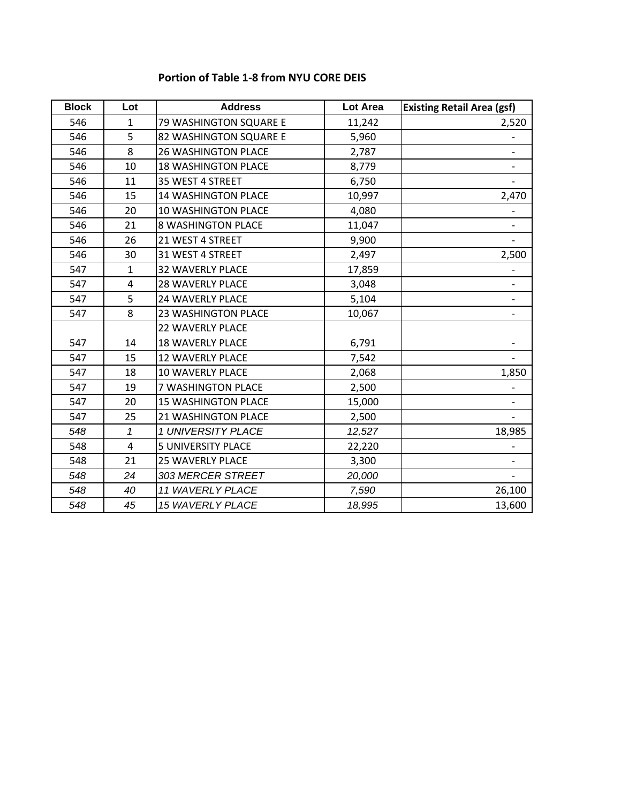## **Portion of Table 1‐8 from NYU CORE DEIS**

| <b>Block</b> | Lot          | <b>Address</b>             | Lot Area | <b>Existing Retail Area (gsf)</b> |
|--------------|--------------|----------------------------|----------|-----------------------------------|
| 546          | $\mathbf{1}$ | 79 WASHINGTON SQUARE E     | 11,242   | 2,520                             |
| 546          | 5            | 82 WASHINGTON SQUARE E     | 5,960    |                                   |
| 546          | 8            | <b>26 WASHINGTON PLACE</b> | 2,787    |                                   |
| 546          | 10           | <b>18 WASHINGTON PLACE</b> | 8,779    | $\overline{\phantom{a}}$          |
| 546          | 11           | 35 WEST 4 STREET           | 6,750    |                                   |
| 546          | 15           | <b>14 WASHINGTON PLACE</b> | 10,997   | 2,470                             |
| 546          | 20           | 10 WASHINGTON PLACE        | 4,080    |                                   |
| 546          | 21           | <b>8 WASHINGTON PLACE</b>  | 11,047   | $\overline{\phantom{a}}$          |
| 546          | 26           | 21 WEST 4 STREET           | 9,900    |                                   |
| 546          | 30           | 31 WEST 4 STREET           | 2,497    | 2,500                             |
| 547          | $\mathbf{1}$ | <b>32 WAVERLY PLACE</b>    | 17,859   |                                   |
| 547          | 4            | <b>28 WAVERLY PLACE</b>    | 3,048    |                                   |
| 547          | 5            | <b>24 WAVERLY PLACE</b>    | 5,104    | $\overline{\phantom{a}}$          |
| 547          | 8            | 23 WASHINGTON PLACE        | 10,067   |                                   |
|              |              | <b>22 WAVERLY PLACE</b>    |          |                                   |
| 547          | 14           | <b>18 WAVERLY PLACE</b>    | 6,791    |                                   |
| 547          | 15           | <b>12 WAVERLY PLACE</b>    | 7,542    |                                   |
| 547          | 18           | <b>10 WAVERLY PLACE</b>    | 2,068    | 1,850                             |
| 547          | 19           | 7 WASHINGTON PLACE         | 2,500    |                                   |
| 547          | 20           | <b>15 WASHINGTON PLACE</b> | 15,000   |                                   |
| 547          | 25           | 21 WASHINGTON PLACE        | 2,500    |                                   |
| 548          | $\mathbf{1}$ | 1 UNIVERSITY PLACE         | 12,527   | 18,985                            |
| 548          | 4            | <b>5 UNIVERSITY PLACE</b>  | 22,220   |                                   |
| 548          | 21           | <b>25 WAVERLY PLACE</b>    | 3,300    |                                   |
| 548          | 24           | 303 MERCER STREET          | 20,000   |                                   |
| 548          | 40           | 11 WAVERLY PLACE           | 7,590    | 26,100                            |
| 548          | 45           | 15 WAVERLY PLACE           | 18,995   | 13,600                            |